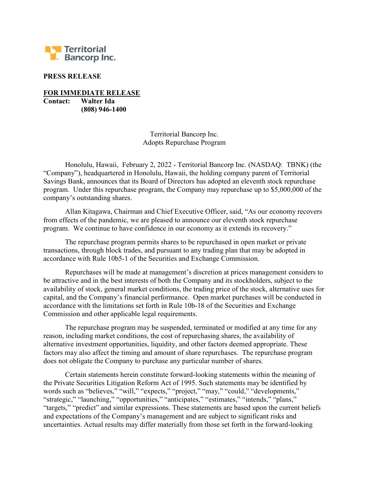

## PRESS RELEASE

FOR IMMEDIATE RELEASE Contact: Walter Ida

(808) 946-1400

Territorial Bancorp Inc. Adopts Repurchase Program

Honolulu, Hawaii, February 2, 2022 - Territorial Bancorp Inc. (NASDAQ: TBNK) (the "Company"), headquartered in Honolulu, Hawaii, the holding company parent of Territorial Savings Bank, announces that its Board of Directors has adopted an eleventh stock repurchase program. Under this repurchase program, the Company may repurchase up to \$5,000,000 of the company's outstanding shares.

Allan Kitagawa, Chairman and Chief Executive Officer, said, "As our economy recovers from effects of the pandemic, we are pleased to announce our eleventh stock repurchase program. We continue to have confidence in our economy as it extends its recovery."

The repurchase program permits shares to be repurchased in open market or private transactions, through block trades, and pursuant to any trading plan that may be adopted in accordance with Rule 10b5-1 of the Securities and Exchange Commission.

Repurchases will be made at management's discretion at prices management considers to be attractive and in the best interests of both the Company and its stockholders, subject to the availability of stock, general market conditions, the trading price of the stock, alternative uses for capital, and the Company's financial performance. Open market purchases will be conducted in accordance with the limitations set forth in Rule 10b-18 of the Securities and Exchange Commission and other applicable legal requirements.

The repurchase program may be suspended, terminated or modified at any time for any reason, including market conditions, the cost of repurchasing shares, the availability of alternative investment opportunities, liquidity, and other factors deemed appropriate. These factors may also affect the timing and amount of share repurchases. The repurchase program does not obligate the Company to purchase any particular number of shares.

Certain statements herein constitute forward-looking statements within the meaning of the Private Securities Litigation Reform Act of 1995. Such statements may be identified by words such as "believes," "will," "expects," "project," "may," "could," "developments," "strategic," "launching," "opportunities," "anticipates," "estimates," "intends," "plans," "targets," "predict" and similar expressions. These statements are based upon the current beliefs and expectations of the Company's management and are subject to significant risks and uncertainties. Actual results may differ materially from those set forth in the forward-looking